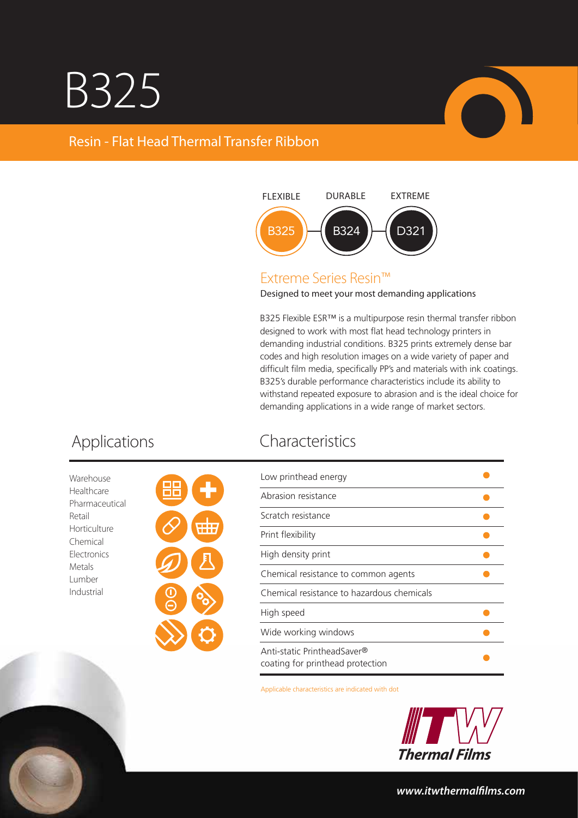# B325



## Resin - Flat Head Thermal Transfer Ribbon



### Extreme Series Resin™

Designed to meet your most demanding applications

B325 Flexible ESR™ is a multipurpose resin thermal transfer ribbon designed to work with most flat head technology printers in demanding industrial conditions. B325 prints extremely dense bar codes and high resolution images on a wide variety of paper and difficult film media, specifically PP's and materials with ink coatings. B325's durable performance characteristics include its ability to withstand repeated exposure to abrasion and is the ideal choice for demanding applications in a wide range of market sectors.

Warehouse Healthcare Pharmaceutical Retail Horticulture Chemical Electronics Metals Lumber Industrial



## Applications Characteristics

| Low printhead energy                                            |  |
|-----------------------------------------------------------------|--|
| Abrasion resistance                                             |  |
| Scratch resistance                                              |  |
| Print flexibility                                               |  |
| High density print                                              |  |
| Chemical resistance to common agents                            |  |
| Chemical resistance to hazardous chemicals                      |  |
| High speed                                                      |  |
| Wide working windows                                            |  |
| Anti-static PrintheadSaver®<br>coating for printhead protection |  |

Applicable characteristics are indicated with dot



### *www.itwthermallms.com*